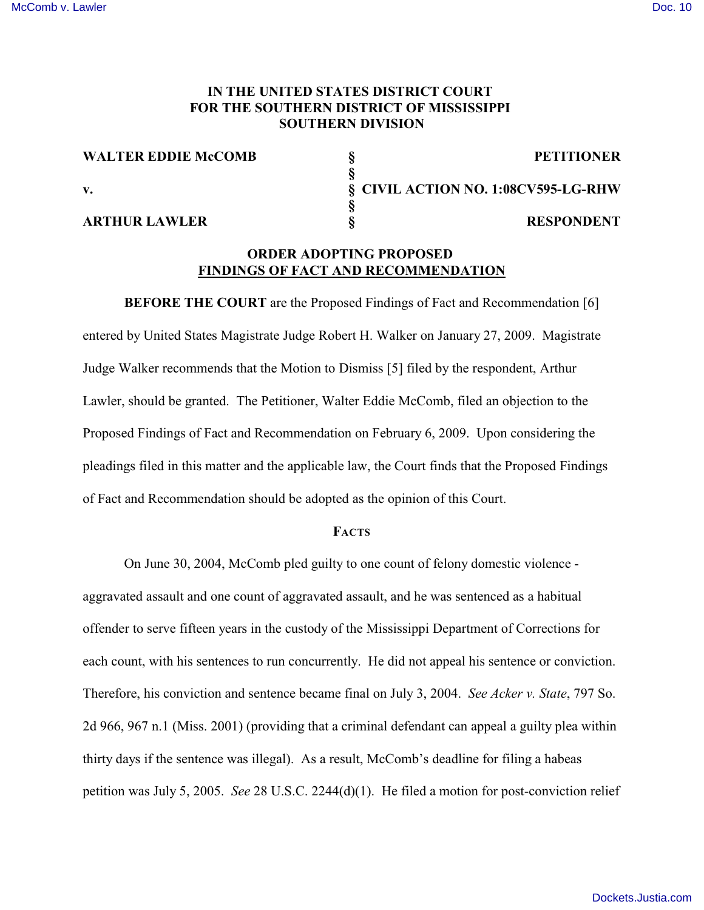## **IN THE UNITED STATES DISTRICT COURT FOR THE SOUTHERN DISTRICT OF MISSISSIPPI SOUTHERN DIVISION**

**§**

**§**

| <b>WALTER EDDIE McCOMB</b> |  |  |
|----------------------------|--|--|
|----------------------------|--|--|

### **ARTHUR LAWLER § RESPONDENT**

**WALTER EDDIE McCOMB § PETITIONER v. § CIVIL ACTION NO. 1:08CV595-LG-RHW**

# **ORDER ADOPTING PROPOSED FINDINGS OF FACT AND RECOMMENDATION**

**BEFORE THE COURT** are the Proposed Findings of Fact and Recommendation [6] entered by United States Magistrate Judge Robert H. Walker on January 27, 2009. Magistrate Judge Walker recommends that the Motion to Dismiss [5] filed by the respondent, Arthur Lawler, should be granted. The Petitioner, Walter Eddie McComb, filed an objection to the Proposed Findings of Fact and Recommendation on February 6, 2009. Upon considering the pleadings filed in this matter and the applicable law, the Court finds that the Proposed Findings of Fact and Recommendation should be adopted as the opinion of this Court.

## **FACTS**

On June 30, 2004, McComb pled guilty to one count of felony domestic violence aggravated assault and one count of aggravated assault, and he was sentenced as a habitual offender to serve fifteen years in the custody of the Mississippi Department of Corrections for each count, with his sentences to run concurrently. He did not appeal his sentence or conviction. Therefore, his conviction and sentence became final on July 3, 2004. *See Acker v. State*, 797 So. 2d 966, 967 n.1 (Miss. 2001) (providing that a criminal defendant can appeal a guilty plea within thirty days if the sentence was illegal). As a result, McComb's deadline for filing a habeas petition was July 5, 2005. *See* 28 U.S.C. 2244(d)(1). He filed a motion for post-conviction relief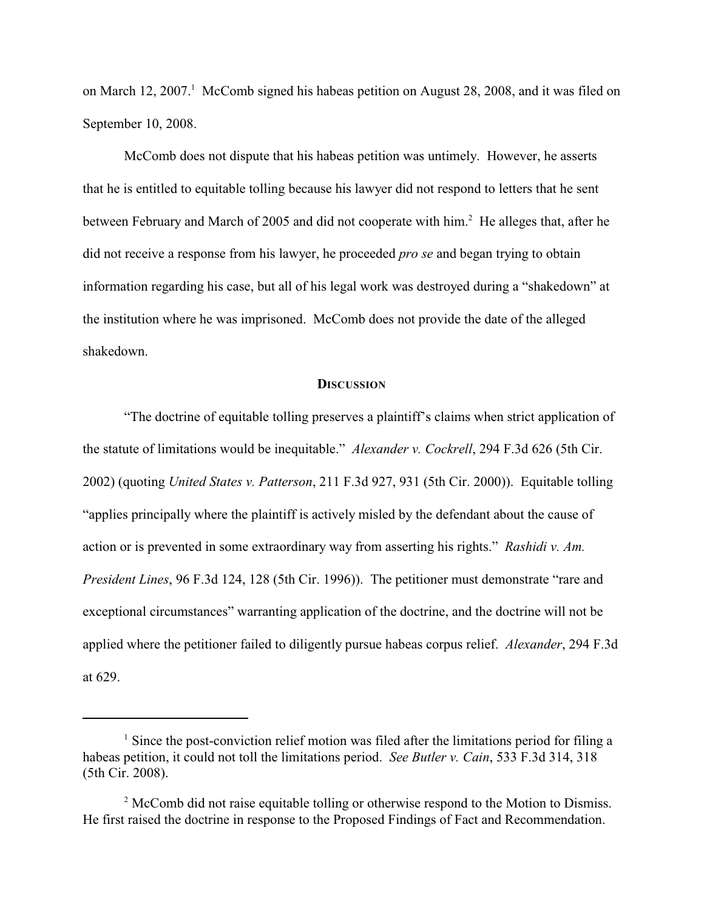on March 12, 2007. McComb signed his habeas petition on August 28, 2008, and it was filed on September 10, 2008.

McComb does not dispute that his habeas petition was untimely. However, he asserts that he is entitled to equitable tolling because his lawyer did not respond to letters that he sent between February and March of 2005 and did not cooperate with him.<sup>2</sup> He alleges that, after he did not receive a response from his lawyer, he proceeded *pro se* and began trying to obtain information regarding his case, but all of his legal work was destroyed during a "shakedown" at the institution where he was imprisoned. McComb does not provide the date of the alleged shakedown.

#### **DISCUSSION**

"The doctrine of equitable tolling preserves a plaintiff's claims when strict application of the statute of limitations would be inequitable." *Alexander v. Cockrell*, 294 F.3d 626 (5th Cir. 2002) (quoting *United States v. Patterson*, 211 F.3d 927, 931 (5th Cir. 2000)).Equitable tolling "applies principally where the plaintiff is actively misled by the defendant about the cause of action or is prevented in some extraordinary way from asserting his rights." *Rashidi v. Am. President Lines*, 96 F.3d 124, 128 (5th Cir. 1996)). The petitioner must demonstrate "rare and exceptional circumstances" warranting application of the doctrine, and the doctrine will not be applied where the petitioner failed to diligently pursue habeas corpus relief. *Alexander*, 294 F.3d at 629.

 $<sup>1</sup>$  Since the post-conviction relief motion was filed after the limitations period for filing a</sup> habeas petition, it could not toll the limitations period. *See Butler v. Cain*, 533 F.3d 314, 318 (5th Cir. 2008).

 $\alpha$ <sup>2</sup> McComb did not raise equitable tolling or otherwise respond to the Motion to Dismiss. He first raised the doctrine in response to the Proposed Findings of Fact and Recommendation.